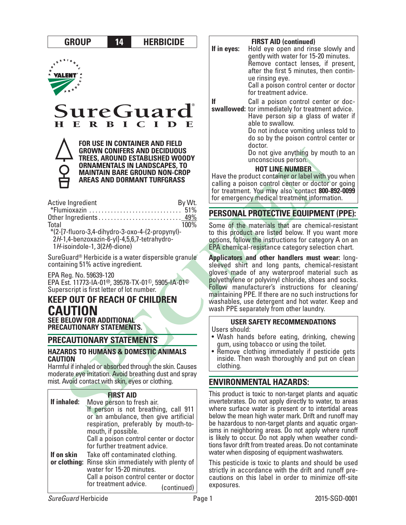

be hazardous to non-target plants and aquatic organisms in neighboring areas. Do not apply where runoff is likely to occur. Do not apply when weather conditions favor drift from treated areas. Do not contaminate water when disposing of equipment washwaters.

This pesticide is toxic to plants and should be used strictly in accordance with the drift and runoff precautions on this label in order to minimize off-site exposures.

**If on skin** 

Call a poison control center or doctor

Call a poison control center or doctor for treatment advice. (continued)

for further treatment advice.

**or clothing:** Rinse skin immediately with plenty of Take off contaminated clothing.

water for 15-20 minutes.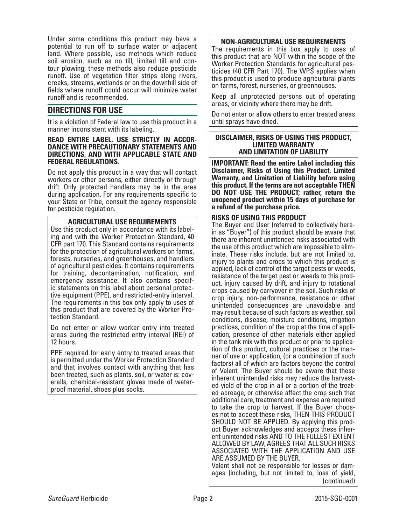Under some conditions this product may have a potential to run off to surface water or adjacent land. Where possible, use methods which reduce soil erosion, such as no till, limited till and con- tour plowing; these methods also reduce pesticide runoff. Use of vegetation filter strips along rivers, creeks, streams, wetlands or on the downhill side of fields where runoff could occur will minimize water runoff and is recommended.

# **DIRECTIONS FOR USE**

It is a violation of Federal law to use this product in a manner inconsistent with its labeling.

#### **READ ENTIRE LABEL. USE STRICTLY IN ACCOR-DANCE WITH PRECAUTIONARY STATEMENTS AND DIRECTIONS, AND WITH APPLICABLE STATE AND FEDERAL REGULATIONS.**

Do not apply this product in a way that will contact workers or other persons, either directly or through drift. Only protected handlers may be in the area during application. For any requirements specific to your State or Tribe, consult the agency responsible for pesticide regulation.

# **AGRICULTURAL USE REQUIREMENTS**

Use this product only in accordance with its labeling and with the Worker Protection Standard, 40 CFR part 170. This Standard contains requirements for the protection of agricultural workers on farms, forests, nurseries, and greenhouses, and handlers of agricultural pesticides. It contains requirements for training, decontamination, notification, and emergency assistance. It also contains specific statements on this label about personal protective equipment (PPE), and restricted-entry interval. The requirements in this box only apply to uses of this product that are covered by the Worker Protection Standard.

Do not enter or allow worker entry into treated areas during the restricted entry interval (REI) of 12 hours.

PPE required for early entry to treated areas that is permitted under the Worker Protection Standard and that involves contact with anything that has been treated, such as plants, soil, or water is: coveralls, chemical-resistant gloves made of waterproof material, shoes plus socks.

# **NON-AGRICULTURAL USE REQUIREMENTS**

The requirements in this box apply to uses of this product that are NOT within the scope of the Worker Protection Standards for agricultural pesticides (40 CFR Part 170). The WPS applies when this product is used to produce agricultural plants on farms, forest, nurseries, or greenhouses.

Keep all unprotected persons out of operating areas, or vicinity where there may be drift.

Do not enter or allow others to enter treated areas until sprays have dried.

#### **DISCLAIMER, RISKS OF USING THIS PRODUCT, LIMITED WARRANTY AND LIMITATION OF LIABILITY**

**IMPORTANT: Read the entire Label including this Disclaimer, Risks of Using this Product, Limited Warranty, and Limitation of Liability before using this product. If the terms are not acceptable THEN DO NOT USE THE PRODUCT; rather, return the unopened product within 15 days of purchase for a refund of the purchase price.**

# **RISKS OF USING THIS PRODUCT**

The Buyer and User (referred to collectively herein as "Buyer") of this product should be aware that there are inherent unintended risks associated with the use of this product which are impossible to eliminate. These risks include, but are not limited to, injury to plants and crops to which this product is applied, lack of control of the target pests or weeds, resistance of the target pest or weeds to this prod- uct, injury caused by drift, and injury to rotational crops caused by carryover in the soil. Such risks of crop injury, non-performance, resistance or other unintended consequences are unavoidable and may result because of such factors as weather, soil conditions, disease, moisture conditions, irrigation practices, condition of the crop at the time of application, presence of other materials either applied in the tank mix with this product or prior to application of this product, cultural practices or the manner of use or application, (or a combination of such factors) all of which are factors beyond the control of Valent. The Buyer should be aware that these inherent unintended risks may reduce the harvested yield of the crop in all or a portion of the treated acreage, or otherwise affect the crop such that additional care, treatment and expense are required to take the crop to harvest. If the Buyer chooses not to accept these risks, THEN THIS PRODUCT SHOULD NOT BE APPLIED. By applying this product Buyer acknowledges and accepts these inherent unintended risks AND TO THE FULLEST EXTENT ALLOWED BY LAW, AGREES THAT ALL SUCH RISKS ASSOCIATED WITH THE APPLICATION AND USE ARE ASSUMED BY THE BUYER. Valent shall not be responsible for losses or damages (including, but not limited to, loss of yield, (continued)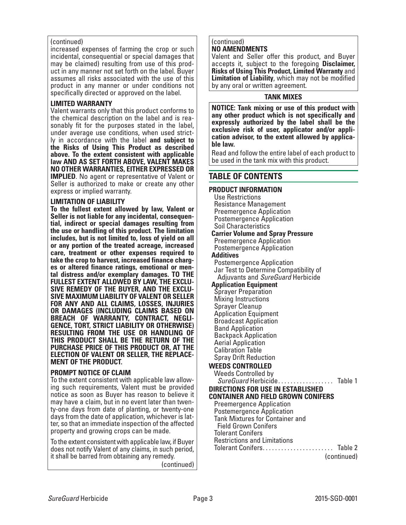#### (continued)

increased expenses of farming the crop or such incidental, consequential or special damages that may be claimed) resulting from use of this product in any manner not set forth on the label. Buyer assumes all risks associated with the use of this product in any manner or under conditions not specifically directed or approved on the label.

# **LIMITED WARRANTY**

Valent warrants only that this product conforms to the chemical description on the label and is reasonably fit for the purposes stated in the label, under average use conditions, when used strictly in accordance with the label **and subject to the Risks of Using This Product as described above. To the extent consistent with applicable law AND AS SET FORTH ABOVE, VALENT MAKES NO OTHER WARRANTIES, EITHER EXPRESSED OR IMPLIED**. No agent or representative of Valent or Seller is authorized to make or create any other express or implied warranty.

#### **LIMITATION OF LIABILITY**

**To the fullest extent allowed by law, Valent or Seller is not liable for any incidental, consequential, indirect or special damages resulting from the use or handling of this product. The limitation includes, but is not limited to, loss of yield on all or any portion of the treated acreage, increased care, treatment or other expenses required to take the crop to harvest, increased finance charges or altered finance ratings, emotional or mental distress and/or exemplary damages. TO THE FULLEST EXTENT ALLOWED BY LAW, THE EXCLU-SIVE REMEDY OF THE BUYER, AND THE EXCLU-SIVE MAXIMUM LIABILITY OF VALENT OR SELLER FOR ANY AND ALL CLAIMS, LOSSES, INJURIES OR DAMAGES (INCLUDING CLAIMS BASED ON BREACH OF WARRANTY, CONTRACT, NEGLI-GENCE, TORT, STRICT LIABILITY OR OTHERWISE) RESULTING FROM THE USE OR HANDLING OF THIS PRODUCT SHALL BE THE RETURN OF THE PURCHASE PRICE OF THIS PRODUCT OR, AT THE ELECTION OF VALENT OR SELLER, THE REPLACE-MENT OF THE PRODUCT.**

#### **PROMPT NOTICE OF CLAIM**

To the extent consistent with applicable law allowing such requirements, Valent must be provided notice as soon as Buyer has reason to believe it ty-one days from date of planting, or twenty-one days from the date of application, whichever is latter, so that an immediate inspection of the affected property and growing crops can be made.

To the extent consistent with applicable law, if Buyer does not notify Valent of any claims, in such period, it shall be barred from obtaining any remedy.

(continued)

#### (continued) **NO AMENDMENTS**

Valent and Seller offer this product, and Buyer accepts it, subject to the foregoing **Disclaimer, Risks of Using This Product, Limited Warranty** and **Limitation of Liability**, which may not be modified by any oral or written agreement.

# **TANK MIXES**

**NOTICE: Tank mixing or use of this product with any other product which is not specifically and expressly authorized by the label shall be the exclusive risk of user, applicator and/or application advisor, to the extent allowed by applicable law.**

Read and follow the entire label of each product to be used in the tank mix with this product.

# **TABLE OF CONTENTS**

#### **PRODUCT INFORMATION** Use Restrictions Resistance Management Preemergence Application Postemergence Application Soil Characteristics **Carrier Volume and Spray Pressure** Preemergence Application Postemergence Application **Additives** Postemergence Application Jar Test to Determine Compatibility of Adjuvants and *SureGuard* Herbicide **Application Equipment** Sprayer Preparation Mixing Instructions Sprayer Cleanup Application Equipment Broadcast Application Band Application Backpack Application Aerial Application Calibration Table Spray Drift Reduction **WEEDS CONTROLLED** Weeds Controlled by *SureGuard* Herbicide. . . . . . . . . . . . . . . . . . Table 1 **DIRECTIONS FOR USE IN ESTABLISHED CONTAINER AND FIELD GROWN CONIFERS** Preemergence Application Postemergence Application Tank Mixtures for Container and Field Grown Conifers Tolerant Conifers Restrictions and Limitations Tolerant Conifers. . . . . . . . . . . . . . . . . . . . . . . Table 2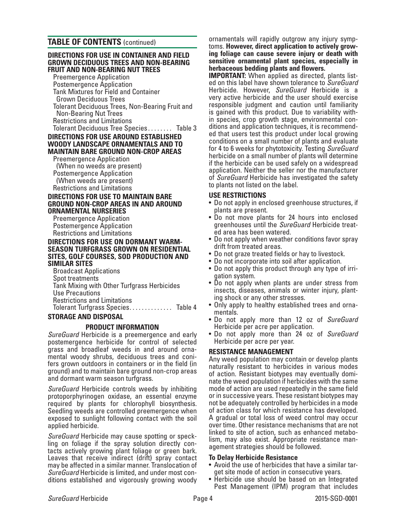# **TABLE OF CONTENTS** (continued)

#### **DIRECTIONS FOR USE IN CONTAINER AND FIELD GROWN DECIDUOUS TREES AND NON-BEARING FRUIT AND NON-BEARING NUT TREES**

Preemergence Application

 Postemergence Application Tank Mixtures for Field and Container Tolerant Deciduous Trees, Non-Bearing Fruit and Non-Bearing Nut Trees Restrictions and Limitations Tolerant Deciduous Tree Species . . . . . . . . Table 3

# **DIRECTIONS FOR USE AROUND ESTABLISHED WOODY LANDSCAPE ORNAMENTALS AND TO MAINTAIN BARE GROUND NON-CROP AREAS**

 Preemergence Application (When no weeds are present) Postemergence Application (When weeds are present) Restrictions and Limitations

#### **DIRECTIONS FOR USE TO MAINTAIN BARE GROUND NON-CROP AREAS IN AND AROUND ORNAMENTAL NURSERIES**

 Preemergence Application Postemergence Application Restrictions and Limitations

#### **DIRECTIONS FOR USE ON DORMANT WARM-SEASON TURFGRASS GROWN ON RESIDENTIAL SITES, GOLF COURSES, SOD PRODUCTION AND SIMILAR SITES**

 Broadcast Applications Spot treatments Tank Mixing with Other Turfgrass Herbicides Use Precautions Restrictions and Limitations Tolerant Turfgrass Species. . . . . . . . . . . . . . Table 4

# **STORAGE AND DISPOSAL**

# **PRODUCT INFORMATION**

*SureGuard* Herbicide is a preemergence and early postemergence herbicide for control of selected mental woody shrubs, deciduous trees and coni-<br>fers grown outdoors in containers or in the field (in ground) and to maintain bare ground non-crop areas and dormant warm season turfgrass.

*SureGuard* Herbicide controls weeds by inhibiting protoporphyrinogen oxidase, an essential enzyme required by plants for chlorophyll biosynthesis. Seedling weeds are controlled preemergence when exposed to sunlight following contact with the soil applied herbicide.

*SureGuard* Herbicide may cause spotting or speckling on foliage if the spray solution directly contacts actively growing plant foliage or green bark. Leaves that receive indirect (drift) spray contact may be affected in a similar manner. Translocation of *SureGuard* Herbicide is limited, and under most conditions established and vigorously growing woody

ornamentals will rapidly outgrow any injury symptoms. **However, direct application to actively growing foliage can cause severe injury or death with sensitive ornamental plant species, especially in herbaceous bedding plants and flowers.**

**IMPORTANT:** When applied as directed, plants listed on this label have shown tolerance to *SureGuard* Herbicide. However, *SureGuard* Herbicide is a very active herbicide and the user should exercise responsible judgment and caution until familiarity is gained with this product. Due to variability within species, crop growth stage, environmental conditions and application techniques, it is recommended that users test this product under local growing conditions on a small number of plants and evaluate for 4 to 6 weeks for phytotoxicity. Testing *SureGuard* herbicide on a small number of plants will determine if the herbicide can be used safely on a widespread application. Neither the seller nor the manufacturer of *SureGuard* Herbicide has investigated the safety to plants not listed on the label.

# **USE RESTRICTIONS**

- Do not apply in enclosed greenhouse structures, if plants are present.
- Do not move plants for 24 hours into enclosed greenhouses until the *SureGuard* Herbicide treated area has been watered.
- Do not apply when weather conditions favor spray drift from treated areas.
- Do not graze treated fields or hay to livestock.
- Do not incorporate into soil after application.
- Do not apply this product through any type of irriaation svstem.
- Do not apply when plants are under stress from insects, diseases, animals or winter injury, plant- ing shock or any other stresses.
- Only apply to healthy established trees and orna- mentals.
- Do not apply more than 12 oz of *SureGuard* Herbicide per acre per application. • Do not apply more than 24 oz of *SureGuard*
- Herbicide per acre per year.

# **RESISTANCE MANAGEMENT**

Any weed population may contain or develop plants naturally resistant to herbicides in various modes of action. Resistant biotypes may eventually dominate the weed population if herbicides with the same mode of action are used repeatedly in the same field or in successive years. These resistant biotypes may not be adequately controlled by herbicides in a mode of action class for which resistance has developed. A gradual or total loss of weed control may occur over time. Other resistance mechanisms that are not linked to site of action, such as enhanced metabolism, may also exist. Appropriate resistance management strategies should be followed.

- **To Delay Herbicide Resistance** get site mode of action in consecutive years.
- Herbicide use should be based on an Integrated Pest Management (IPM) program that includes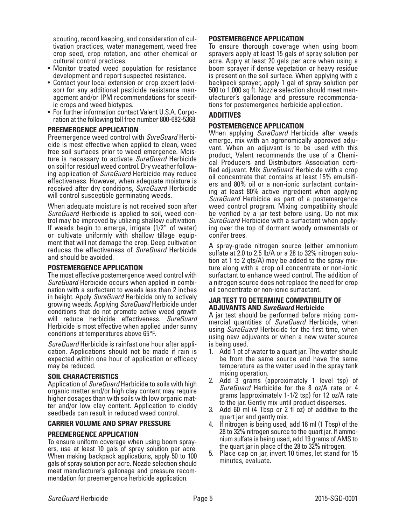scouting, record keeping, and consideration of cultivation practices, water management, weed free crop seed, crop rotation, and other chemical or cultural control practices.

- Monitor treated weed population for resistance development and report suspected resistance.
- Contact your local extension or crop expert (advisor) for any additional pesticide resistance management and/or IPM recommendations for specific crops and weed biotypes.
- For further information contact Valent U.S.A. Corporation at the following toll free number 800-682-5368.

### **PREEMERGENCE APPLICATION**

Preemergence weed control with *SureGuard* Herbicide is most effective when applied to clean, weed free soil surfaces prior to weed emergence. Moisture is necessary to activate *SureGuard* Herbicide on soil for residual weed control. Dry weather following application of *SureGuard* Herbicide may reduce effectiveness. However, when adequate moisture is received after dry conditions, *SureGuard* Herbicide will control susceptible germinating weeds.

When adequate moisture is not received soon after *SureGuard* Herbicide is applied to soil, weed control may be improved by utilizing shallow cultivation. If weeds begin to emerge, irrigate (1/2" of water) or cultivate uniformly with shallow tillage equipment that will not damage the crop. Deep cultivation reduces the effectiveness of *SureGuard* Herbicide and should be avoided.

#### **POSTEMERGENCE APPLICATION**

The most effective postemergence weed control with *SureGuard* Herbicide occurs when applied in combination with a surfactant to weeds less than 2 inches in height. Apply *SureGuard* Herbicide only to actively growing weeds. Applying *SureGuard* Herbicide under conditions that do not promote active weed growth will reduce herbicide effectiveness. *SureGuard* Herbicide is most effective when applied under sunny conditions at temperatures above 65°F.

*SureGuard* Herbicide is rainfast one hour after application. Applications should not be made if rain is expected within one hour of application or efficacy may be reduced.

#### **SOIL CHARACTERISTICS**

Application of *SureGuard* Herbicide to soils with high organic matter and/or high clay content may require higher dosages than with soils with low organic matter and/or low clay content. Application to cloddy seedbeds can result in reduced weed control.

#### **CARRIER VOLUME AND SPRAY PRESSURE**

**PREEMERGENCE APPLICATION** ers, use at least 10 gals of spray solution per acre. When making backpack applications, apply 50 to 100 gals of spray solution per acre. Nozzle selection should meet manufacturer's gallonage and pressure recom- mendation for preemergence herbicide application.

# **POSTEMERGENCE APPLICATION**

To ensure thorough coverage when using boom sprayers apply at least 15 gals of spray solution per acre. Apply at least 20 gals per acre when using a boom sprayer if dense vegetation or heavy residue is present on the soil surface. When applying with a backpack sprayer, apply 1 gal of spray solution per 500 to 1,000 sq ft. Nozzle selection should meet manufacturer's gallonage and pressure recommendations for postemergence herbicide application.

# **ADDITIVES**

# **POSTEMERGENCE APPLICATION**

When applying *SureGuard* Herbicide after weeds emerge, mix with an agronomically approved adjuvant. When an adjuvant is to be used with this product, Valent recommends the use of a Chemical Producers and Distributors Association certified adjuvant. Mix *SureGuard* Herbicide with a crop oil concentrate that contains at least 15% emulsifiers and 80% oil or a non-ionic surfactant containing at least 80% active ingredient when applying *SureGuard* Herbicide as part of a postemergence weed control program. Mixing compatibility should be verified by a jar test before using. Do not mix *SureGuard* Herbicide with a surfactant when applying over the top of dormant woody ornamentals or conifer trees.

A spray-grade nitrogen source (either ammonium sulfate at 2.0 to 2.5 lb/A or a 28 to 32% nitrogen solution at 1 to 2 qts/A) may be added to the spray mixture along with a crop oil concentrate or non-ionic surfactant to enhance weed control. The addition of a nitrogen source does not replace the need for crop oil concentrate or non-ionic surfactant.

## **JAR TEST TO DETERMINE COMPATIBILITY OF ADJUVANTS AND** *SureGuard* **Herbicide**

A jar test should be performed before mixing commercial quantities of *SureGuard* Herbicide, when using *SureGuard* Herbicide for the first time, when using new adjuvants or when a new water source is being used.

- 1. Add 1 pt of water to a quart jar. The water should be from the same source and have the same temperature as the water used in the spray tank mixing operation.
- 2. Add 3 grams (approximately 1 level tsp) of *SureGuard* Herbicide for the 8 oz/A rate or 4 grams (approximately 1-1/2 tsp) for 12 oz/A rate to the jar. Gently mix until product disperses.
- 3. Add 60 ml (4 Tbsp or 2 fl oz) of additive to the quart jar and gently mix.
- 4. If nitrogen is being used, add 16 ml (1 Tbsp) of the 28 to 32% nitrogen source to the quart jar. If ammonium sulfate is being used, add 19 grams of AMS to the quart jar in place of the 28 to 32% nitrogen.
- 5. Place cap on jar, invert 10 times, let stand for 15 minutes, evaluate.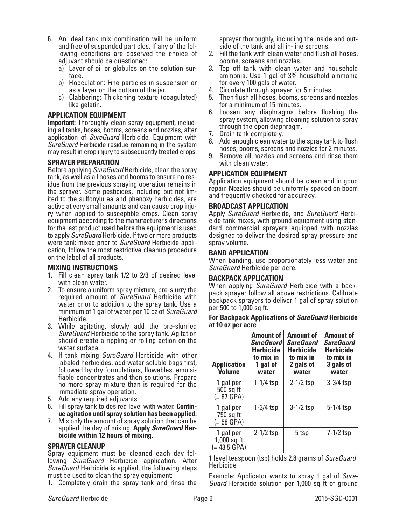- 6. An ideal tank mix combination will be uniform and free of suspended particles. If any of the following conditions are observed the choice of adjuvant should be questioned:
	- a) Layer of oil or globules on the solution surface.
	- b) Flocculation: Fine particles in suspension or as a layer on the bottom of the jar.
	- c) Clabbering: Thickening texture (coagulated) like gelatin.

#### **APPLICATION EQUIPMENT**

**Important:** Thoroughly clean spray equipment, including all tanks, hoses, booms, screens and nozzles, after application of *SureGuard* Herbicide. Equipment with *SureGuard* Herbicide residue remaining in the system may result in crop injury to subsequently treated crops.

#### **SPRAYER PREPARATION**

Before applying *SureGuard* Herbicide, clean the spray tank, as well as all hoses and booms to ensure no res- idue from the previous spraying operation remains in the sprayer. Some pesticides, including but not lim- ited to the sulfonylurea and phenoxy herbicides, are active at very small amounts and can cause crop inju- ry when applied to susceptible crops. Clean spray equipment according to the manufacturer's directions for the last product used before the equipment is used to apply *SureGuard* Herbicide. If two or more products were tank mixed prior to *SureGuard* Herbicide appli- cation, follow the most restrictive cleanup procedure on the label of all products.

#### **MIXING INSTRUCTIONS**

- 1. Fill clean spray tank 1/2 to 2/3 of desired level with clean water.
- 2. To ensure a uniform spray mixture, pre-slurry the required amount of *SureGuard* Herbicide with water prior to addition to the spray tank. Use a minimum of 1 gal of water per 10 oz of *SureGuard* Herbicide.
- 3. While agitating, slowly add the pre-slurried *SureGuard* Herbicide to the spray tank. Agitation should create a rippling or rolling action on the water surface.
- 4. If tank mixing *SureGuard* Herbicide with other labeled herbicides, add water soluble bags first, followed by dry formulations, flowables, emulsifiable concentrates and then solutions. Prepare no more spray mixture than is required for the immediate spray operation.
- 5. Add any required adjuvants.
- 6. Fill spray tank to desired level with water. **Contin- ue agitation until spray solution has been applied.**
- 7. Mix only the amount of spray solution that can be applied the day of mixing. **Apply** *SureGuard* **Her- bicide within 12 hours of mixing.**

#### **SPRAYER CLEANUP**

Spray equipment must be cleaned each day following *SureGuard* Herbicide application. After *SureGuard* Herbicide is applied, the following steps must be used to clean the spray equipment:

1. Completely drain the spray tank and rinse the

sprayer thoroughly, including the inside and outside of the tank and all in-line screens.

- 2. Fill the tank with clean water and flush all hoses, booms, screens and nozzles.
- 3. Top off tank with clean water and household ammonia. Use 1 gal of 3% household ammonia for every 100 gals of water.
- 4. Circulate through sprayer for 5 minutes.
- 5. Then flush all hoses, booms, screens and nozzles for a minimum of 15 minutes.
- 6. Loosen any diaphragms before flushing the spray system, allowing cleaning solution to spray through the open diaphragm.
- 7. Drain tank completely.
- 8. Add enough clean water to the spray tank to flush hoses, booms, screens and nozzles for 2 minutes.
- 9. Remove all nozzles and screens and rinse them with clean water.

## **APPLICATION EQUIPMENT**

Application equipment should be clean and in good repair. Nozzles should be uniformly spaced on boom and frequently checked for accuracy.

#### **BROADCAST APPLICATION**

Apply *SureGuard* Herbicide, and *SureGuard* Herbicide tank mixes, with ground equipment using standard commercial sprayers equipped with nozzles designed to deliver the desired spray pressure and spray volume.

#### **BAND APPLICATION**

When banding, use proportionately less water and *SureGuard* Herbicide per acre.

#### **BACKPACK APPLICATION**

When applying *SureGuard* Herbicide with a backpack sprayer follow all above restrictions. Calibrate backpack sprayers to deliver 1 gal of spray solution per 500 to 1,000 sq ft.

#### **For Backpack Applications of** *SureGuard* **Herbicide at 10 oz per acre**

| <b>Application</b><br><b>Volume</b>          | <b>Amount of</b><br><b>SureGuard</b><br><b>Herbicide</b><br>to mix in<br>1 gal of<br>water | <b>Amount of</b><br><b>SureGuard</b><br><b>Herbicide</b><br>to mix in<br>2 gals of<br>water | <b>Amount of</b><br><b>SureGuard</b><br><b>Herbicide</b><br>to mix in<br>3 gals of<br>water |
|----------------------------------------------|--------------------------------------------------------------------------------------------|---------------------------------------------------------------------------------------------|---------------------------------------------------------------------------------------------|
| 1 gal per<br>500 sq ft<br>$(= 87$ GPA)       | $1 - 1/4$ tsp                                                                              | $2 - 1/2$ tsp                                                                               | $3-3/4$ tsp                                                                                 |
| 1 gal per<br>750 sq ft<br>$(= 58$ GPA)       | $1-3/4$ tsp                                                                                | $3-1/2$ tsp                                                                                 | $5 - 1/4$ tsp                                                                               |
| 1 gal per<br>$1,000$ sq ft<br>$(= 43.5$ GPA) | $2 - 1/2$ tsp                                                                              | 5 tsp                                                                                       | $7-1/2$ tsp                                                                                 |

1 level teaspoon (tsp) holds 2.8 grams of *SureGuard* Herbicide

Example: Applicator wants to spray 1 gal of *Sure- Guard* Herbicide solution per 1,000 sq ft of ground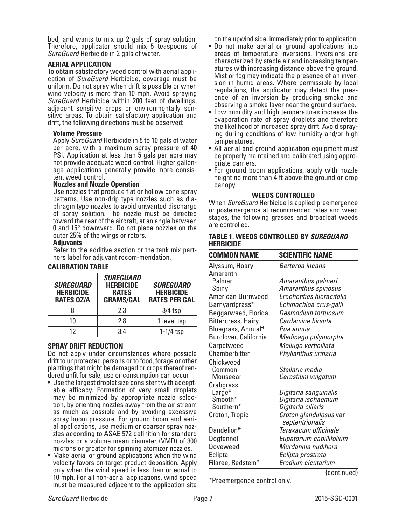bed, and wants to mix up 2 gals of spray solution. Therefore, applicator should mix 5 teaspoons of *SureGuard* Herbicide in 2 gals of water.

#### **AERIAL APPLICATION**

To obtain satisfactory weed control with aerial application of *SureGuard* Herbicide, coverage must be uniform. Do not spray when drift is possible or when wind velocity is more than 10 mph. Avoid spraying *SureGuard* Herbicide within 200 feet of dwellings, adjacent sensitive crops or environmentally sensitive areas. To obtain satisfactory application and drift, the following directions must be observed:

#### **Volume Pressure**

 Apply *SureGuard* Herbicide in 5 to 10 gals of water per acre, with a maximum spray pressure of 40 PSI. Application at less than 5 gals per acre may not provide adequate weed control. Higher gallon- age applications generally provide more consis- tent weed control.

#### **Nozzles and Nozzle Operation**

 Use nozzles that produce flat or hollow cone spray patterns. Use non-drip type nozzles such as diaphragm type nozzles to avoid unwanted discharge of spray solution. The nozzle must be directed toward the rear of the aircraft, at an angle between 0 and 15° downward. Do not place nozzles on the outer 25% of the wings or rotors.

#### **Adjuvants**

 Refer to the additive section or the tank mix partners label for adjuvant recom-mendation.

#### **CALIBRATION TABLE**

| <b>SUREGUARD</b><br><b>HERBICIDE</b><br><b>RATES OZ/A</b> | <b>SUREGUARD</b><br><b>HERBICIDE</b><br><b>RATES</b><br><b>GRAMS/GAL</b> | <b>SUREGUARD</b><br><b>HERBICIDE</b><br><b>RATES PER GAL</b> |
|-----------------------------------------------------------|--------------------------------------------------------------------------|--------------------------------------------------------------|
|                                                           | 2.3                                                                      | $3/4$ tsp                                                    |
| 10                                                        | 2.8                                                                      | 1 level tsp                                                  |
| 12                                                        | 34                                                                       | $1-1/4$ tsp                                                  |

#### **SPRAY DRIFT REDUCTION**

Do not apply under circumstances where possible drift to unprotected persons or to food, forage or other plantings that might be damaged or crops thereof ren- dered unfit for sale, use or consumption can occur.

- Use the largest droplet size consistent with accept- able efficacy. Formation of very small droplets tion, by orienting nozzles away from the air stream as much as possible and by avoiding excessive spray boom pressure. For ground boom and aerial applications, use medium or coarser spray nozzles according to ASAE 572 definition for standard nozzles or a volume mean diameter (VMD) of 300 microns or greater for spinning atomizer nozzles.
- Make aerial or ground applications when the wind velocity favors on-target product deposition. Apply only when the wind speed is less than or equal to 10 mph. For all non-aerial applications, wind speed must be measured adjacent to the application site

on the upwind side, immediately prior to application.

- Do not make aerial or ground applications into areas of temperature inversions. Inversions are characterized by stable air and increasing temperatures with increasing distance above the ground. Mist or fog may indicate the presence of an inversion in humid areas. Where permissible by local regulations, the applicator may detect the presence of an inversion by producing smoke and observing a smoke layer near the ground surface.
- Low humidity and high temperatures increase the evaporation rate of spray droplets and therefore the likelihood of increased spray drift. Avoid spraying during conditions of low humidity and/or high temperatures.
- All aerial and ground application equipment must be properly maintained and calibrated using appropriate carriers.
- For ground boom applications, apply with nozzle height no more than 4 ft above the ground or crop canopy.

#### **WEEDS CONTROLLED**

When *SureGuard* Herbicide is applied preemergence or postemergence at recommended rates and weed stages, the following grasses and broadleaf weeds are controlled.

#### **TABLE 1. WEEDS CONTROLLED BY** *SUREGUARD* **HERBICIDE**

| <b>COMMON NAME</b>        | <b>SCIENTIFIC NAME</b>    |
|---------------------------|---------------------------|
| Alyssum, Hoary            | Berteroa incana           |
| Amaranth                  |                           |
| Palmer                    | Amaranthus palmeri        |
| Spiny                     | Amaranthus spinosus       |
| American Burnweed         | Erechetities hieracifolia |
| Barnyardgrass*            | Echinochloa crus-galli    |
| Beggarweed, Florida       | Desmodium tortuosum       |
| <b>Bittercress, Hairy</b> | Cardamine hirsuta         |
| Bluegrass, Annual*        | Poa annua                 |
| Burclover, California     | Medicago polymorpha       |
| Carpetweed                | Mollugo verticillata      |
| Chamberbitter             | Phyllanthus urinaria      |
| Chickweed                 |                           |
| Common                    | Stellaria media           |
| Mouseear                  | Cerastium vulgatum        |
| Crabgrass                 |                           |
| Large*                    | Digitaria sanguinalis     |
| Smooth*                   | Digitaria ischaemum       |
| Southern*                 | Digitaria ciliaris        |
| Croton, Tropic            | Croton glandulosus var.   |
|                           | septentrionalis           |
| Dandelion*                | Taraxacum officinale      |
| Dogfennel                 | Eupatorium capillifolium  |
| <b>Doveweed</b>           | Murdannia nudiflora       |
| Eclipta                   | Eclipta prostrata         |
| Filaree, Redstem*         | Erodium cicutarium        |

\*Preemergence control only.

(continued)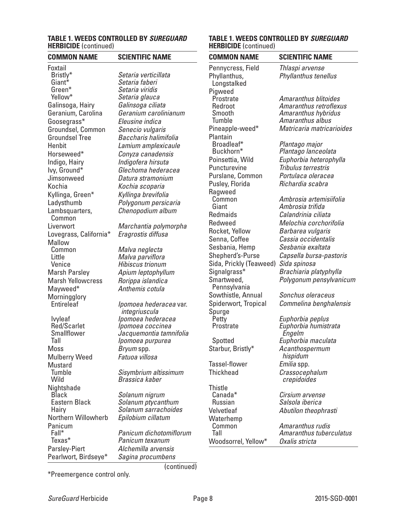#### **TABLE 1. WEEDS CONTROLLED BY** *SUREGUARD* **HERBICIDE** (continued)

| <b>COMMON NAME</b>            | <b>SCIENTIFIC NAME</b>                      |
|-------------------------------|---------------------------------------------|
| Foxtail                       |                                             |
| Bristly*                      | Setaria verticillata                        |
| Giant*                        | Setaria faberi                              |
| Green*                        | Setaria viridis                             |
| Yellow*                       | Setaria glauca                              |
| Galinsoga, Hairy              | Galinsoga ciliata                           |
| Geranium, Carolina            | Geranium carolinianum                       |
| Goosegrass*                   | Eleusine indica                             |
| Groundsel, Common             | Senecio vulgaris                            |
| <b>Groundsel Tree</b>         | Baccharis halimifolia                       |
| Henbit                        | Lamium amplexicaule                         |
| Horseweed*                    | Conyza canadensis                           |
| Indigo, Hairy                 | Indigofera hirsuta                          |
| Ivy, Ground*                  | Glechoma hederacea                          |
| Jimsonweed                    | Datura stramonium                           |
| Kochia                        | Kochia scoparia                             |
| Kyllinga, Green*              | Kyllinga brevifolia                         |
| Ladysthumb                    | Polygonum persicaria                        |
| Lambsquarters,                | Chenopodium album                           |
| Common                        |                                             |
| Liverwort                     | Marchantia polymorpha                       |
| Lovegrass, California*        | Eragrostis diffusa                          |
| Mallow                        |                                             |
| Common                        | Malva neglecta                              |
| Little                        | Malva parviflora                            |
| Venice                        | Hibiscus trionum                            |
| <b>Marsh Parsley</b>          | Apium leptophyllum                          |
| <b>Marsh Yellowcress</b>      | Rorippa islandica                           |
| Mayweed*                      | Anthemis cotula                             |
| Morningglory                  |                                             |
| Entireleaf                    | <i>Ipomoea hederacea</i> var.               |
|                               | integriuscula                               |
| Ivyleaf<br><b>Red/Scarlet</b> | Ipomoea hederacea                           |
| Smallflower                   | Ipomoea coccinea<br>Jacquemontia tamnifolia |
| Tall                          | Ipomoea purpurea                            |
| Moss                          | <i>Bryum</i> spp.                           |
| <b>Mulberry Weed</b>          | Fatuoa villosa                              |
| Mustard                       |                                             |
| Tumble                        | Sisymbrium altissimum                       |
| Wild                          | Brassica kaber                              |
| Nightshade                    |                                             |
| <b>Black</b>                  | Solanum nigrum                              |
| Eastern Black                 | Solanum ptycanthum                          |
| Hairy                         | Solanum sarrachoides                        |
| Northern Willowherb           | Epilobium cillatum                          |
| Panicum                       |                                             |
| Fall*                         | Panicum dichotomiflorum                     |
| Texas*                        | Panicum texanum                             |
| <b>Parsley-Piert</b>          | Alchemilla arvensis                         |
| Pearlwort, Birdseye*          | Sagina procumbens                           |

(continued)

#### **TABLE 1. WEEDS CONTROLLED BY** *SUREGUARD* **HERBICIDE** (continued)

| <b>COMMON NAME</b>      | <b>SCIENTIFIC NAME</b>    |
|-------------------------|---------------------------|
| Pennycress, Field       | Thlaspi arvense           |
| Phyllanthus,            | Phyllanthus tenellus      |
| Longstalked             |                           |
| Pigweed                 |                           |
| Prostrate               | Amaranthus blitoides      |
| Redroot                 | Amaranthus retroflexus    |
| Smooth                  | Amaranthus hybridus       |
| Tumble                  | Amaranthus albus          |
| Pineapple-weed*         | Matricaria matricarioides |
| Plantain                |                           |
| Broadleaf*              | Plantago major            |
| Buckhorn*               | Plantago lanceolata       |
| Poinsettia, Wild        | Euphorbia heterophylla    |
| Puncturevine            | Tribulus terrestris       |
| Purslane, Common        | Portulaca oleracea        |
| Pusley, Florida         | Richardia scabra          |
| Ragweed                 |                           |
| Common                  | Ambrosia artemisiifolia   |
| Giant                   | Ambrosia trifida          |
| <b>Redmaids</b>         | Calandrinia ciliata       |
| Redweed                 | Melochia corchorifolia    |
| Rocket, Yellow          | Barbarea vulgaris         |
| Senna, Coffee           | Cassia occidentalis       |
| Sesbania, Hemp          | Sesbania exaltata         |
| Shepherd's-Purse        | Capsella bursa-pastoris   |
| Sida, Prickly (Teaweed) | Sida spinosa              |
| Signalgrass*            | Brachiaria platyphylla    |
| Smartweed,              | Polygonum pensylvanicum   |
| Pennsylvania            |                           |
| Sowthistle, Annual      | Sonchus oleraceus         |
| Spiderwort, Tropical    | Commelina benghalensis    |
| Spurge                  |                           |
| Petty                   | Euphorbia peplus          |
| Prostrate               | Euphorbia humistrata      |
|                         | Engelm                    |
| Spotted                 | Euphorbia maculata        |
| Starbur, Bristly*       | Acanthospermum            |
|                         | hispidum                  |
| Tassel-flower           | Emilia spp.               |
| <b>Thickhead</b>        | Crassocephalum            |
|                         | crepidoides               |
| <b>Thistle</b>          |                           |
| Canada*                 | Cirsium arvense           |
| <b>Russian</b>          | Salsola iberica           |
| Velvetleaf              | Abutilon theophrasti      |
| Waterhemp               |                           |
| Common                  | Amaranthus rudis          |
| Tall                    | Amaranthus tuberculatus   |

Woodsorrel, Yellow\* *Oxalis stricta*

\*Preemergence control only.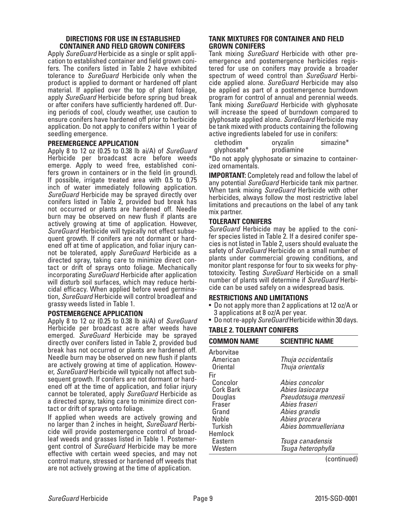#### **DIRECTIONS FOR USE IN ESTABLISHED CONTAINER AND FIELD GROWN CONIFERS**

Apply *SureGuard* Herbicide as a single or split application to established container and field grown conifers. The conifers listed in Table 2 have exhibited tolerance to *SureGuard* Herbicide only when the product is applied to dormant or hardened off plant material. If applied over the top of plant foliage, apply *SureGuard* Herbicide before spring bud break or after conifers have sufficiently hardened off. During periods of cool, cloudy weather, use caution to ensure conifers have hardened off prior to herbicide application. Do not apply to conifers within 1 year of seedling emergence.

## **PREEMERGENCE APPLICATION**

Apply 8 to 12 oz (0.25 to 0.38 lb ai/A) of *SureGuard* Herbicide per broadcast acre before weeds emerge. Apply to weed free, established conifers grown in containers or in the field (in ground). If possible, irrigate treated area with 0.5 to 0.75 inch of water immediately following application. *SureGuard* Herbicide may be sprayed directly over conifers listed in Table 2, provided bud break has not occurred or plants are hardened off. Needle burn may be observed on new flush if plants are actively growing at time of application. However, *SureGuard* Herbicide will typically not effect subsequent growth. If conifers are not dormant or hardened off at time of application, and foliar injury cannot be tolerated, apply *SureGuard* Herbicide as a directed spray, taking care to minimize direct contact or drift of sprays onto foliage. Mechanically incorporating *SureGuard* Herbicide after application will disturb soil surfaces, which may reduce herbi- cidal efficacy. When applied before weed germination, *SureGuard* Herbicide will control broadleaf and grassy weeds listed in Table 1.

#### **POSTEMERGENCE APPLICATION**

Apply 8 to 12 oz (0.25 to 0.38 lb ai/A) of *SureGuard* Herbicide per broadcast acre after weeds have emerged. *SureGuard* Herbicide may be sprayed directly over conifers listed in Table 2, provided bud break has not occurred or plants are hardened off. Needle burn may be observed on new flush if plants are actively growing at time of application. However, *SureGuard* Herbicide will typically not affect subsequent growth. If conifers are not dormant or hardened off at the time of application, and foliar injury cannot be tolerated, apply *SureGuard* Herbicide as a directed spray, taking care to minimize direct contact or drift of sprays onto foliage.

If applied when weeds are actively growing and<br>no larger than 2 inches in height, SureGuard Herbicide will provide postemergence control of broad-<br>leaf weeds and grasses listed in Table 1. Postemer-<br>gent control of *SureGuard* Herbicide may be more effective with certain weed species, and may not control mature, stressed or hardened off weeds that are not actively growing at the time of application.

# **TANK MIXTURES FOR CONTAINER AND FIELD GROWN CONIFERS**<br>Tank mixing *SureGuard* Herbicide with other pre-

emergence and postemergence herbicides registered for use on conifers may provide a broader spectrum of weed control than *SureGuard* Herbicide applied alone. *SureGuard* Herbicide may also be applied as part of a postemergence burndown program for control of annual and perennial weeds. Tank mixing *SureGuard* Herbicide with glyphosate will increase the speed of burndown compared to glyphosate applied alone. *SureGuard* Herbicide may be tank mixed with products containing the following active ingredients labeled for use in conifers:

| clethodim   | oryzalin   | simazine* |
|-------------|------------|-----------|
| glyphosate* | prodiamine |           |

\*Do not apply glyphosate or simazine to container- ized ornamentals.

**IMPORTANT:** Completely read and follow the label of any potential *SureGuard* Herbicide tank mix partner. When tank mixing *SureGuard* Herbicide with other herbicides, always follow the most restrictive label limitations and precautions on the label of any tank mix partner.

# **TOLERANT CONIFERS**

*SureGuard* Herbicide may be applied to the conifer species listed in Table 2. If a desired conifer species is not listed in Table 2, users should evaluate the safety of *SureGuard* Herbicide on a small number of plants under commercial growing conditions, and monitor plant response for four to six weeks for phytotoxicity. Testing *SureGuard* Herbicide on a small number of plants will determine if *SureGuard* Herbicide can be used safely on a widespread basis.

# **RESTRICTIONS AND LIMITATIONS**

- Do not apply more than 2 applications at 12 oz/A or 3 applications at 8 oz/A per year.
- Do not re-apply *SureGuard* Herbicide within 30 days.

# **TABLE 2. TOLERANT CONIFERS**

| <b>COMMON NAME</b> | <b>SCIENTIFIC NAME</b> |
|--------------------|------------------------|
| Arborvitae         |                        |
| American           | Thuja occidentalis     |
| <b>Oriental</b>    | Thuja orientalis       |
| Fir                |                        |
| Concolor           | Abies concolor         |
| <b>Cork Bark</b>   | Abies lasiocarpa       |
| Douglas            | Pseudotsuga menzesii   |
| Fraser             | Abies fraseri          |
| Grand              | Abies grandis          |
| Noble              | Abies procera          |
| <b>Turkish</b>     | Abies bommuelleriana   |
| Hemlock            |                        |
| Eastern            | Tsuga canadensis       |
| Western            | Tsuga heterophylla     |

(continued)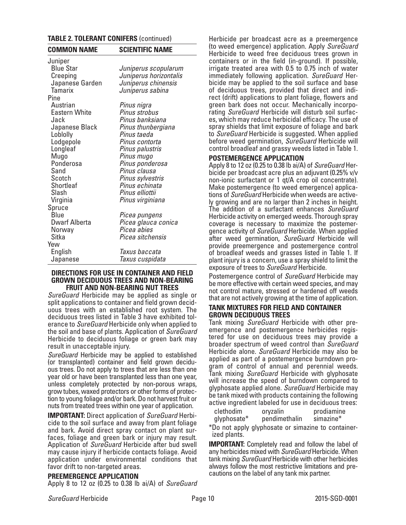# **TABLE 2. TOLERANT CONIFERS** (continued)

| <b>COMMON NAME</b>   | <b>SCIENTIFIC NAME</b> |
|----------------------|------------------------|
| Juniper              |                        |
| <b>Blue Star</b>     | Juniperus scopularum   |
| Creeping             | Juniperus horizontalis |
| Japanese Garden      | Juniperus chinensis    |
| <b>Tamarix</b>       | Juniperus sabina       |
| Pine                 |                        |
| Austrian             | Pinus nigra            |
| Eastern White        | Pinus strobus          |
| Jack                 | Pinus banksiana        |
| Japanese Black       | Pinus thunbergiana     |
| Loblolly             | Pinus taeda            |
| Lodgepole            | Pinus contorta         |
| Longleaf             | Pinus palustris        |
| Mugo                 | Pinus mugo             |
| Ponderosa            | Pinus ponderosa        |
| Sand                 | Pinus clausa           |
| Scotch               | Pinus sylvestris       |
| Shortleaf            | Pinus echinata         |
| Slash                | Pinus elliottii        |
| Virginia             | Pinus virginiana       |
| Spruce               |                        |
| Blue                 | Picea pungens          |
| <b>Dwarf Alberta</b> | Picea glauca conica    |
| Norway               | Picea abies            |
| Sitka                | Picea sitchensis       |
| Yew                  |                        |
| English              | Taxus baccata          |
| Japanese             | Taxus cuspidata        |

#### **DIRECTIONS FOR USE IN CONTAINER AND FIELD GROWN DECIDUOUS TREES AND NON-BEARING FRUIT AND NON-BEARING NUT TREES**

*SureGuard* Herbicide may be applied as single or uous trees with an established root system. The deciduous trees listed in Table 3 have exhibited tolerance to *SureGuard* Herbicide only when applied to the soil and base of plants. Application of *SureGuard* Herbicide to deciduous foliage or green bark may result in unacceptable injury.

*SureGuard* Herbicide may be applied to established (or transplanted) container and field grown deciduous trees. Do not apply to trees that are less than one year old or have been transplanted less than one year, unless completely protected by non-porous wraps, grow tubes, waxed protectors or other forms of protection to young foliage and/or bark. Do not harvest fruit or nuts from treated trees within one year of application.

**IMPORTANT:** Direct application of *SureGuard* Herbi- cide to the soil surface and away from plant foliage and bark. Avoid direct spray contact on plant sur- faces, foliage and green bark or injury may result. Application of *SureGuard* Herbicide after bud swell may cause injury if herbicide contacts foliage. Avoid application under environmental conditions that favor drift to non-targeted areas.

#### **PREEMERGENCE APPLICATION**

Apply 8 to 12 oz (0.25 to 0.38 lb ai/A) of *SureGuard*

Herbicide per broadcast acre as a preemergence (to weed emergence) application. Apply *SureGuard* Herbicide to weed free deciduous trees grown in containers or in the field (in-ground). If possible, irrigate treated area with 0.5 to 0.75 inch of water immediately following application. *SureGuard* Herbicide may be applied to the soil surface and base of deciduous trees, provided that direct and indirect (drift) applications to plant foliage, flowers and green bark does not occur. Mechanically incorporating *SureGuard* Herbicide will disturb soil surfaces, which may reduce herbicidal efficacy. The use of spray shields that limit exposure of foliage and bark to *SureGuard* Herbicide is suggested. When applied before weed germination, *SureGuard* Herbicide will control broadleaf and grassy weeds listed in Table 1.

# **POSTEMERGENCE APPLICATION**

Apply 8 to 12 oz (0.25 to 0.38 lb ai/A) of *SureGuard* Herbicide per broadcast acre plus an adjuvant (0.25% v/v non-ionic surfactant or 1 qt/A crop oil concentrate). Make postemergence (to weed emergence) applications of *SureGuard* Herbicide when weeds are actively growing and are no larger than 2 inches in height. The addition of a surfactant enhances *SureGuard* Herbicide activity on emerged weeds. Thorough spray coverage is necessary to maximize the postemergence activity of *SureGuard* Herbicide. When applied after weed germination, *SureGuard* Herbicide will provide preemergence and postemergence control of broadleaf weeds and grasses listed in Table 1. If plant injury is a concern, use a spray shield to limit the exposure of trees to *SureGuard* Herbicide.

Postemergence control of *SureGuard* Herbicide may be more effective with certain weed species, and may not control mature, stressed or hardened off weeds that are not actively growing at the time of application.

## **TANK MIXTURES FOR FIELD AND CONTAINER GROWN DECIDUOUS TREES**

Tank mixing *SureGuard* Herbicide with other preemergence and postemergence herbicides registered for use on deciduous trees may provide a broader spectrum of weed control than *SureGuard* Herbicide alone. *SureGuard* Herbicide may also be applied as part of a postemergence burndown program of control of annual and perennial weeds. Tank mixing *SureGuard* Herbicide with glyphosate will increase the speed of burndown compared to glyphosate applied alone. *SureGuard* Herbicide may be tank mixed with products containing the following active ingredient labeled for use in deciduous trees:

| clethodim   | oryzalin      | prodiamine |
|-------------|---------------|------------|
| glyphosate* | pendimethalin | simazine*  |

\*Do not apply glyphosate or simazine to containerized plants.

**IMPORTANT:** Completely read and follow the label of any herbicides mixed with *SureGuard* Herbicide. When tank mixing *SureGuard* Herbicide with other herbicides always follow the most restrictive limitations and pre- cautions on the label of any tank mix partner.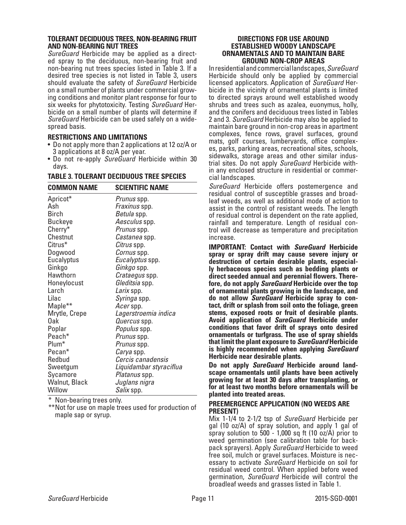# **TOLERANT DECIDUOUS TREES, NON-BEARING FRUIT AND NON-BEARING NUT TREES**

ed spray to the deciduous, non-bearing fruit and non-bearing nut trees species listed in Table 3. If a desired tree species is not listed in Table 3, users should evaluate the safety of *SureGuard* Herbicide on a small number of plants under commercial grow- ing conditions and monitor plant response for four to six weeks for phytotoxicity. Testing *SureGuard* Her- bicide on a small number of plants will determine if *SureGuard* Herbicide can be used safely on a wide- spread basis.

# **RESTRICTIONS AND LIMITATIONS**

- Do not apply more than 2 applications at 12 oz/A or 3 applications at 8 oz/A per year.
- Do not re-apply *SureGuard* Herbicide within 30 days.

## **TABLE 3. TOLERANT DECIDUOUS TREE SPECIES**

| <b>COMMON NAME</b>  | <b>SCIENTIFIC NAME</b>  |
|---------------------|-------------------------|
| Apricot*            | Prunus spp.             |
| Ash                 | Fraxinus spp.           |
| <b>Birch</b>        | Betula spp.             |
| <b>Buckeye</b>      | Aesculus spp.           |
| Cherry*             | <i>Prunus</i> spp.      |
| Chestnut            | <i>Castanea</i> spp.    |
| Citrus <sup>*</sup> | Citrus spp.             |
| Dogwood             | Cornus spp.             |
| Eucalyptus          | Eucalyptus spp.         |
| Ginkgo              | Ginkgo spp.             |
| Hawthorn            | <i>Crataegus</i> spp.   |
| Honeylocust         | Gleditsia spp.          |
| Larch               | Larix spp.              |
| Lilac               | Syringa spp.            |
| Maple**             | Acerspp.                |
| Mrytle, Crepe       | Lagerstroemia indica    |
| Oak                 | Quercus spp.            |
| Poplar              | Populus spp.            |
| Peach <sup>*</sup>  | Prunus spp.             |
| Plum <sup>*</sup>   | Prunus spp.             |
| Pecan*              | <i>Carya</i> spp.       |
| Redbud              | Cercis canadensis       |
| Sweetgum            | Liquidambar styraciflua |
| Sycamore            | Platanus spp.           |
| Walnut, Black       | Juglans nigra           |
| Willow              | Salix spp.              |

Non-bearing trees only.

\*\*Not for use on maple trees used for production of maple sap or syrup.

#### **DIRECTIONS FOR USE AROUND ESTABLISHED WOODY LANDSCAPE ORNAMENTALS AND TO MAINTAIN BARE GROUND NON-CROP AREAS**

In residential and commercial landscapes, *SureGuard* Herbicide should only be applied by commercial licensed applicators. Application of *SureGuard* Herbicide in the vicinity of ornamental plants is limited to directed sprays around well established woody shrubs and trees such as azalea, euonymus, holly, and the conifers and deciduous trees listed in Tables 2 and 3. *SureGuard* Herbicide may also be applied to maintain bare ground in non-crop areas in apartment complexes, fence rows, gravel surfaces, ground mats, golf courses, lumberyards, office complexes, parks, parking areas, recreational sites, schools, sidewalks, storage areas and other similar industrial sites. Do not apply *SureGuard* Herbicide within any enclosed structure in residential or commercial landscapes.

*SureGuard* Herbicide offers postemergence and residual control of susceptible grasses and broadleaf weeds, as well as additional mode of action to assist in the control of resistant weeds. The length of residual control is dependent on the rate applied, rainfall and temperature. Length of residual control will decrease as temperature and precipitation increase.

**IMPORTANT: Contact with** *SureGuard* **Herbicide spray or spray drift may cause severe injury or destruction of certain desirable plants, especially herbaceous species such as bedding plants or direct seeded annual and perennial flowers. Therefore, do not apply** *SureGuard* **Herbicide over the top of ornamental plants growing in the landscape, and do not allow** *SureGuard* **Herbicide spray to contact, drift or splash from soil onto the foliage, green stems, exposed roots or fruit of desirable plants. Avoid application of** *SureGuard* **Herbicide under conditions that favor drift of sprays onto desired ornamentals or turfgrass. The use of spray shields that limit the plant exposure to** *SureGuard* **Herbicide is highly recommended when applying** *SureGuard* **Herbicide near desirable plants.** 

**Do not apply** *SureGuard* **Herbicide around landscape ornamentals until plants have been actively growing for at least 30 days after transplanting, or for at least two months before ornamentals will be planted into treated areas.**

#### **PREEMERGENCE APPLICATION (NO WEEDS ARE PRESENT)**

Mix 1-1/4 to 2-1/2 tsp of *SureGuard* Herbicide per gal (10 oz/A) of spray solution, and apply 1 gal of spray solution to 500 - 1,000 sq ft (10 oz/A) prior to weed germination (see calibration table for backpack sprayers). Apply *SureGuard* Herbicide to weed<br>free soil, mulch or gravel surfaces. Moisture is necessary to activate *SureGuard* Herbicide on soil for residual weed control. When applied before weed germination, *SureGuard* Herbicide will control the broadleaf weeds and grasses listed in Table 1.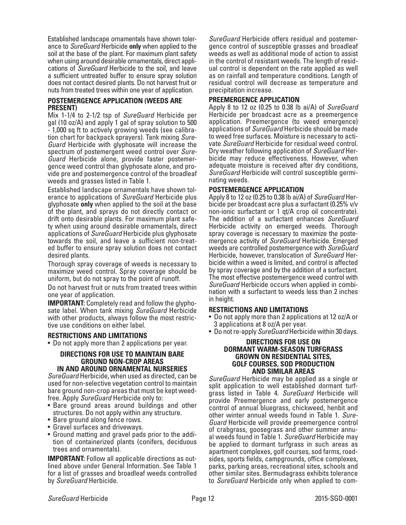Established landscape ornamentals have shown toler- ance to *SureGuard* Herbicide **only** when applied to the soil at the base of the plant. For maximum plant safety when using around desirable ornamentals, direct appli- cations of *SureGuard* Herbicide to the soil, and leave a sufficient untreated buffer to ensure spray solution does not contact desired plants. Do not harvest fruit or nuts from treated trees within one year of application.

#### **POSTEMERGENCE APPLICATION (WEEDS ARE PRESENT)**

Mix 1-1/4 to 2-1/2 tsp of *SureGuard* Herbicide per gal (10 oz/A) and apply 1 gal of spray solution to 500 - 1,000 sq ft to actively growing weeds (see calibration chart for backpack sprayers). Tank mixing *Sure-Guard* Herbicide with glyphosate will increase the spectrum of postemergent weed control over *Sure-Guard* Herbicide alone, provide faster postemergence weed control than glyphosate alone, and provide pre and postemergence control of the broadleaf weeds and grasses listed in Table 1.

Established landscape ornamentals have shown tolerance to applications of *SureGuard* Herbicide plus glyphosate **only** when applied to the soil at the base of the plant, and sprays do not directly contact or drift onto desirable plants. For maximum plant safety when using around desirable ornamentals, direct applications of *SureGuard* Herbicide plus glyphosate towards the soil, and leave a sufficient non-treated buffer to ensure spray solution does not contact desired plants.

Thorough spray coverage of weeds is necessary to maximize weed control. Spray coverage should be uniform, but do not spray to the point of runoff.

Do not harvest fruit or nuts from treated trees within one year of application.

**IMPORTANT:** Completely read and follow the glypho- sate label. When tank mixing *SureGuard* Herbicide with other products, always follow the most restric- tive use conditions on either label.

# **RESTRICTIONS AND LIMITATIONS**

• Do not apply more than 2 applications per year.

#### **DIRECTIONS FOR USE TO MAINTAIN BARE GROUND NON-CROP AREAS IN AND AROUND ORNAMENTAL NURSERIES**

*SureGuard* Herbicide, when used as directed, can be used for non-selective vegetation control to maintain bare ground non-crop areas that must be kept weed-

- free. Apply *SureGuard* Herbicide only to: Bare ground areas around buildings and other structures. Do not apply within any structure.
- Bare ground along fence rows.
- Gravel surfaces and driveways.
- Ground matting and gravel pads prior to the addition of containerized plants (conifers, deciduous trees and ornamentals).

**IMPORTANT:** Follow all applicable directions as out-<br>lined above under General Information. See Table 1 for a list of grasses and broadleaf weeds controlled by *SureGuard* Herbicide.

*SureGuard* Herbicide offers residual and postemergence control of susceptible grasses and broadleaf weeds as well as additional mode of action to assist in the control of resistant weeds. The length of residual control is dependent on the rate applied as well as on rainfall and temperature conditions. Length of residual control will decrease as temperature and precipitation increase.

# **PREEMERGENCE APPLICATION**

Apply 8 to 12 oz (0.25 to 0.38 lb ai/A) of *SureGuard* Herbicide per broadcast acre as a preemergence application. Preemergence (to weed emergence) applications of *SureGuard* Herbicide should be made to weed free surfaces. Moisture is necessary to activate *SureGuard* Herbicide for residual weed control. Dry weather following application of *SureGuard* Herbicide may reduce effectiveness. However, when adequate moisture is received after dry conditions, *SureGuard* Herbicide will control susceptible germinating weeds.

## **POSTEMERGENCE APPLICATION**

Apply 8 to 12 oz (0.25 to 0.38 lb ai/A) of *SureGuard* Herbicide per broadcast acre plus a surfactant (0.25% v/v non-ionic surfactant or 1 qt/A crop oil concentrate). The addition of a surfactant enhances *SureGuard* Herbicide activity on emerged weeds. Thorough spray coverage is necessary to maximize the postemergence activity of *SureGuard* Herbicide. Emerged weeds are controlled postemergence with *SureGuard* Herbicide, however, translocation of *SureGuard* Herbicide within a weed is limited, and control is affected by spray coverage and by the addition of a surfactant. The most effective postemergence weed control with *SureGuard* Herbicide occurs when applied in combination with a surfactant to weeds less than 2 inches in height.

#### **RESTRICTIONS AND LIMITATIONS**

- Do not apply more than 2 applications at 12 oz/A or 3 applications at 8 oz/A per year.
- Do not re-apply *SureGuard* Herbicide within 30 days.

#### **DIRECTIONS FOR USE ON DORMANT WARM-SEASON TURFGRASS GROWN ON RESIDENTIAL SITES, GOLF COURSES, SOD PRODUCTION AND SIMILAR AREAS**

*SureGuard* Herbicide may be applied as a single or split application to well established dormant turfgrass listed in Table 4. *SureGuard* Herbicide will provide Preemergence and early postemergence control of annual bluegrass, chickweed, henbit and other winter annual weeds found in Table 1. *Sure-Guard* Herbicide will provide preemergence control of crabgrass, goosegrass and other summer annual weeds found in Table 1. *SureGuard* Herbicide may be applied to dormant turfgrass in such areas as apartment complexes, golf courses, sod farms, roadsides, sports fields, campgrounds, office complexes, parks, parking areas, recreational sites, schools and other similar sites. Bermudagrass exhibits tolerance to *SureGuard* Herbicide only when applied to com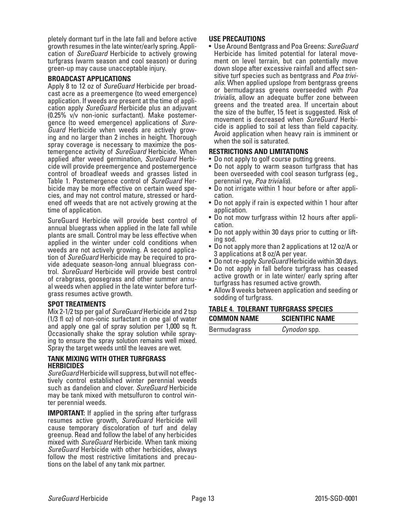pletely dormant turf in the late fall and before active growth resumes in the late winter/early spring. Appli- cation of *SureGuard* Herbicide to actively growing turfgrass (warm season and cool season) or during green-up may cause unacceptable injury.

#### **BROADCAST APPLICATIONS**

Apply 8 to 12 oz of *SureGuard* Herbicide per broadcast acre as a preemergence (to weed emergence) application. If weeds are present at the time of application apply *SureGuard* Herbicide plus an adjuvant (0.25% v/v non-ionic surfactant). Make postemergence (to weed emergence) applications of *Sure-Guard* Herbicide when weeds are actively growing and no larger than 2 inches in height. Thorough spray coverage is necessary to maximize the postemergence activity of *SureGuard* Herbicide. When applied after weed germination, *SureGuard* Herbicide will provide preemergence and postemergence control of broadleaf weeds and grasses listed in Table 1. Postemergence control of *SureGuard* Herbicide may be more effective on certain weed species, and may not control mature, stressed or hardened off weeds that are not actively growing at the time of application.

SureGuard Herbicide will provide best control of annual bluegrass when applied in the late fall while plants are small. Control may be less effective when applied in the winter under cold conditions when weeds are not actively growing. A second application of *SureGuard* Herbicide may be required to provide adequate season-long annual bluegrass control. *SureGuard* Herbicide will provide best control of crabgrass, goosegrass and other summer annu- al weeds when applied in the late winter before turf- grass resumes active growth.

# **SPOT TREATMENTS**

Mix 2-1/2 tsp per gal of *SureGuard* Herbicide and 2 tsp (1/3 fl oz) of non-ionic surfactant in one gal of water and apply one gal of spray solution per 1,000 sq ft. Occasionally shake the spray solution while spraying to ensure the spray solution remains well mixed. Spray the target weeds until the leaves are wet.

#### **TANK MIXING WITH OTHER TURFGRASS HERBICIDES**

*SureGuard* Herbicide will suppress, but will not effectively control established winter perennial weeds such as dandelion and clover. *SureGuard* Herbicide may be tank mixed with metsulfuron to control winter perennial weeds.

**IMPORTANT:** If applied in the spring after turfgrass resumes active growth, *SureGuard* Herbicide will cause temporary discoloration of turf and delay greenup. Read and follow the label of any herbicides mixed with *SureGuard* Herbicide. When tank mixing *SureGuard* Herbicide with other herbicides, always follow the most restrictive limitations and precautions on the label of any tank mix partner.

# **USE PRECAUTIONS**

• Use Around Bentgrass and Poa Greens: *SureGuard* ment on level terrain, but can potentially move down slope after excessive rainfall and affect sensitive turf species such as bentgrass and *Poa trivialis*. When applied upslope from bentgrass greens or bermudagrass greens overseeded with *Poa trivialis*, allow an adequate buffer zone between greens and the treated area. If uncertain about the size of the buffer, 15 feet is suggested. Risk of movement is decreased when *SureGuard* Herbicide is applied to soil at less than field capacity. Avoid application when heavy rain is imminent or when the soil is saturated.

# **RESTRICTIONS AND LIMITATIONS**

- Do not apply to golf course putting greens.
- Do not apply to warm season turfgrass that has been overseeded with cool season turfgrass (eg., perennial rye, *Poa trivialis*).
- Do not irrigate within 1 hour before or after application.
- Do not apply if rain is expected within 1 hour after application.
- Do not mow turfgrass within 12 hours after application.
- Do not apply within 30 days prior to cutting or lifting sod.
- Do not apply more than 2 applications at 12 oz/A or 3 applications at 8 oz/A per year.
- Do not re-apply *SureGuard* Herbicide within 30 days.
- Do not apply in fall before turfgrass has ceased active growth or in late winter/ early spring after turfgrass has resumed active growth.
- Allow 8 weeks between application and seeding or sodding of turfgrass.

# **TABLE 4. TOLERANT TURFGRASS SPECIES**

| <b>COMMON NAME</b> | <b>SCIENTIFIC NAME</b> |
|--------------------|------------------------|
| Bermudagrass       | <i>Cynodon</i> spp.    |